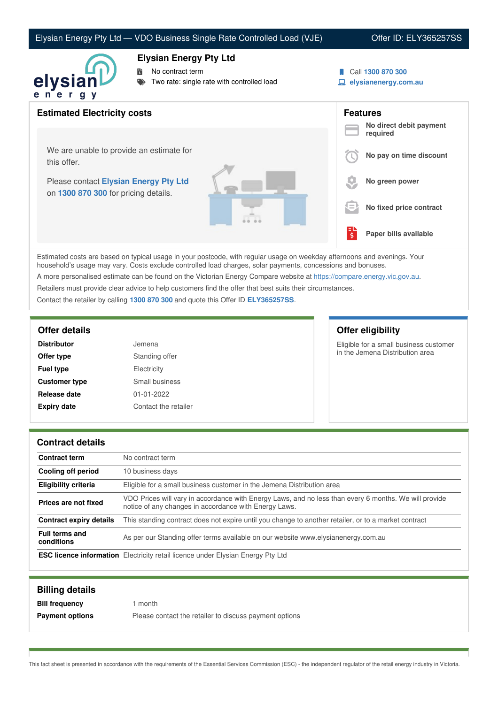### Elysian Energy Pty Ltd — VDO Business Single Rate Controlled Load (VJE) Offer ID: ELY365257SS



### **Elysian Energy Pty Ltd**

No contract term

- Two rate: single rate with controlled load
- Call **1300 870 300**
- **elysianenergy.com.au**

| <b>Estimated Electricity costs</b>                                            |                                     | <b>Features</b><br>No direct debit payment |
|-------------------------------------------------------------------------------|-------------------------------------|--------------------------------------------|
|                                                                               |                                     | required                                   |
| We are unable to provide an estimate for<br>this offer.                       |                                     | No pay on time discount                    |
| Please contact Elysian Energy Pty Ltd<br>on 1300 870 300 for pricing details. |                                     | No green power                             |
|                                                                               | l =                                 | No fixed price contract                    |
|                                                                               | $\overline{\boldsymbol{\varsigma}}$ | Paper bills available                      |

Estimated costs are based on typical usage in your postcode, with regular usage on weekday afternoons and evenings. Your household's usage may vary. Costs exclude controlled load charges, solar payments, concessions and bonuses.

A more personalised estimate can be found on the Victorian Energy Compare website at <https://compare.energy.vic.gov.au>.

Retailers must provide clear advice to help customers find the offer that best suits their circumstances.

Contact the retailer by calling **1300 870 300** and quote this Offer ID **ELY365257SS**.

| <b>Distributor</b>   | Jemena               |
|----------------------|----------------------|
| Offer type           | Standing offer       |
| <b>Fuel type</b>     | Electricity          |
| <b>Customer type</b> | Small business       |
| Release date         | $01 - 01 - 2022$     |
| <b>Expiry date</b>   | Contact the retailer |

## **Offer details Offer eligibility**

Eligible for a small business customer in the Jemena Distribution area

### **Contract details**

| <b>Contract term</b>                | No contract term                                                                                                                                               |
|-------------------------------------|----------------------------------------------------------------------------------------------------------------------------------------------------------------|
| Cooling off period                  | 10 business days                                                                                                                                               |
| <b>Eligibility criteria</b>         | Eligible for a small business customer in the Jemena Distribution area                                                                                         |
| Prices are not fixed                | VDO Prices will vary in accordance with Energy Laws, and no less than every 6 months. We will provide<br>notice of any changes in accordance with Energy Laws. |
| <b>Contract expiry details</b>      | This standing contract does not expire until you change to another retailer, or to a market contract                                                           |
| <b>Full terms and</b><br>conditions | As per our Standing offer terms available on our website www.elysianenergy.com.au                                                                              |
|                                     | <b>ESC licence information</b> Electricity retail licence under Elysian Energy Pty Ltd                                                                         |

| <b>Billing details</b> |                                                        |
|------------------------|--------------------------------------------------------|
| <b>Bill frequency</b>  | month                                                  |
| <b>Payment options</b> | Please contact the retailer to discuss payment options |